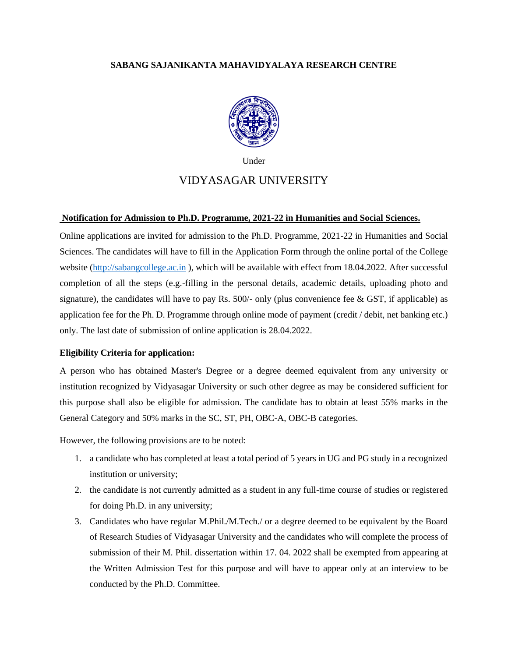### **SABANG SAJANIKANTA MAHAVIDYALAYA RESEARCH CENTRE**



Under

## VIDYASAGAR UNIVERSITY

#### **Notification for Admission to Ph.D. Programme, 2021-22 in Humanities and Social Sciences.**

Online applications are invited for admission to the Ph.D. Programme, 2021-22 in Humanities and Social Sciences. The candidates will have to fill in the Application Form through the online portal of the College website [\(http://sabangcollege.ac.in](http://sabangcollege.ac.in/) ), which will be available with effect from 18.04.2022. After successful completion of all the steps (e.g.-filling in the personal details, academic details, uploading photo and signature), the candidates will have to pay Rs.  $500/-$  only (plus convenience fee & GST, if applicable) as application fee for the Ph. D. Programme through online mode of payment (credit / debit, net banking etc.) only. The last date of submission of online application is 28.04.2022.

#### **Eligibility Criteria for application:**

A person who has obtained Master's Degree or a degree deemed equivalent from any university or institution recognized by Vidyasagar University or such other degree as may be considered sufficient for this purpose shall also be eligible for admission. The candidate has to obtain at least 55% marks in the General Category and 50% marks in the SC, ST, PH, OBC-A, OBC-B categories.

However, the following provisions are to be noted:

- 1. a candidate who has completed at least a total period of 5 years in UG and PG study in a recognized institution or university;
- 2. the candidate is not currently admitted as a student in any full-time course of studies or registered for doing Ph.D. in any university;
- 3. Candidates who have regular M.Phil./M.Tech./ or a degree deemed to be equivalent by the Board of Research Studies of Vidyasagar University and the candidates who will complete the process of submission of their M. Phil. dissertation within 17. 04. 2022 shall be exempted from appearing at the Written Admission Test for this purpose and will have to appear only at an interview to be conducted by the Ph.D. Committee.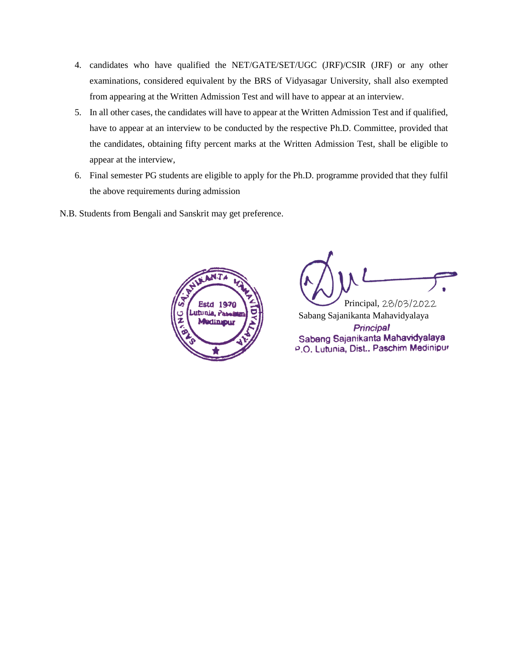- 4. candidates who have qualified the NET/GATE/SET/UGC (JRF)/CSIR (JRF) or any other examinations, considered equivalent by the BRS of Vidyasagar University, shall also exempted from appearing at the Written Admission Test and will have to appear at an interview.
- 5. In all other cases, the candidates will have to appear at the Written Admission Test and if qualified, have to appear at an interview to be conducted by the respective Ph.D. Committee, provided that the candidates, obtaining fifty percent marks at the Written Admission Test, shall be eligible to appear at the interview,
- 6. Final semester PG students are eligible to apply for the Ph.D. programme provided that they fulfil the above requirements during admission
- N.B. Students from Bengali and Sanskrit may get preference.



 Principal, 28/03/2022 Sabang Sajanikanta MahavidyalayaPrincipal Sabang Sajanikanta Mahavidyalaya P.O. Lutunia, Dist., Paschim Medinipur